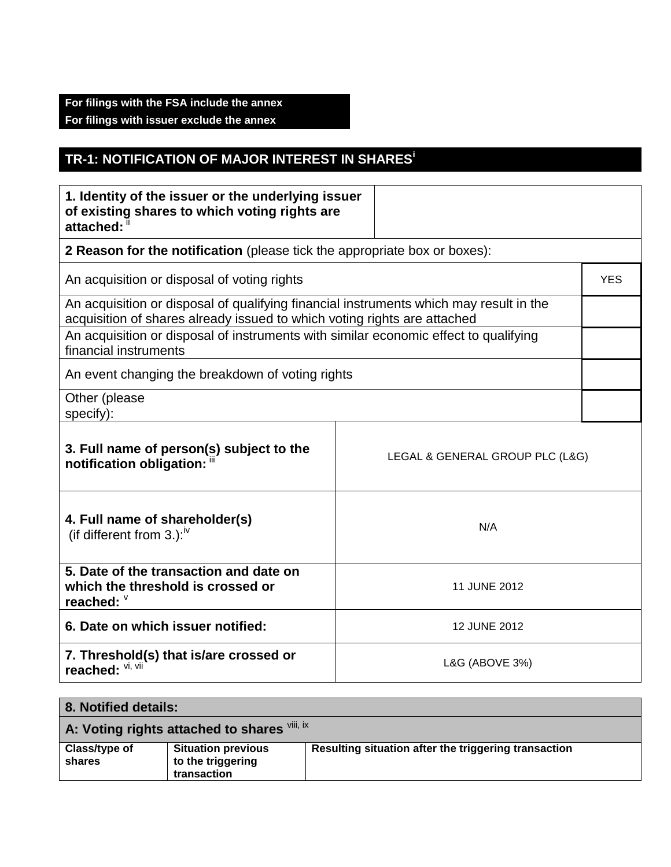## **For filings with the FSA include the annex For filings with issuer exclude the annex**

## **TR-1: NOTIFICATION OF MAJOR INTEREST IN SHARES<sup>i</sup>**

| 1. Identity of the issuer or the underlying issuer<br>of existing shares to which voting rights are<br>attached: "                                                 |                |            |
|--------------------------------------------------------------------------------------------------------------------------------------------------------------------|----------------|------------|
| 2 Reason for the notification (please tick the appropriate box or boxes):                                                                                          |                |            |
| An acquisition or disposal of voting rights                                                                                                                        |                | <b>YES</b> |
| An acquisition or disposal of qualifying financial instruments which may result in the<br>acquisition of shares already issued to which voting rights are attached |                |            |
| An acquisition or disposal of instruments with similar economic effect to qualifying<br>financial instruments                                                      |                |            |
| An event changing the breakdown of voting rights                                                                                                                   |                |            |
| Other (please<br>specify):                                                                                                                                         |                |            |
| 3. Full name of person(s) subject to the<br>LEGAL & GENERAL GROUP PLC (L&G)<br>notification obligation: "                                                          |                |            |
| 4. Full name of shareholder(s)<br>(if different from 3.): $W$                                                                                                      | N/A            |            |
| 5. Date of the transaction and date on<br>which the threshold is crossed or<br>reached: $\frac{1}{2}$                                                              | 11 JUNE 2012   |            |
| 6. Date on which issuer notified:<br>12 JUNE 2012                                                                                                                  |                |            |
| 7. Threshold(s) that is/are crossed or<br>reached: VI, VII                                                                                                         | L&G (ABOVE 3%) |            |

| 8. Notified details:                         |                                                               |                                                      |
|----------------------------------------------|---------------------------------------------------------------|------------------------------------------------------|
| A: Voting rights attached to shares VIII, IX |                                                               |                                                      |
| Class/type of<br>shares                      | <b>Situation previous</b><br>to the triggering<br>transaction | Resulting situation after the triggering transaction |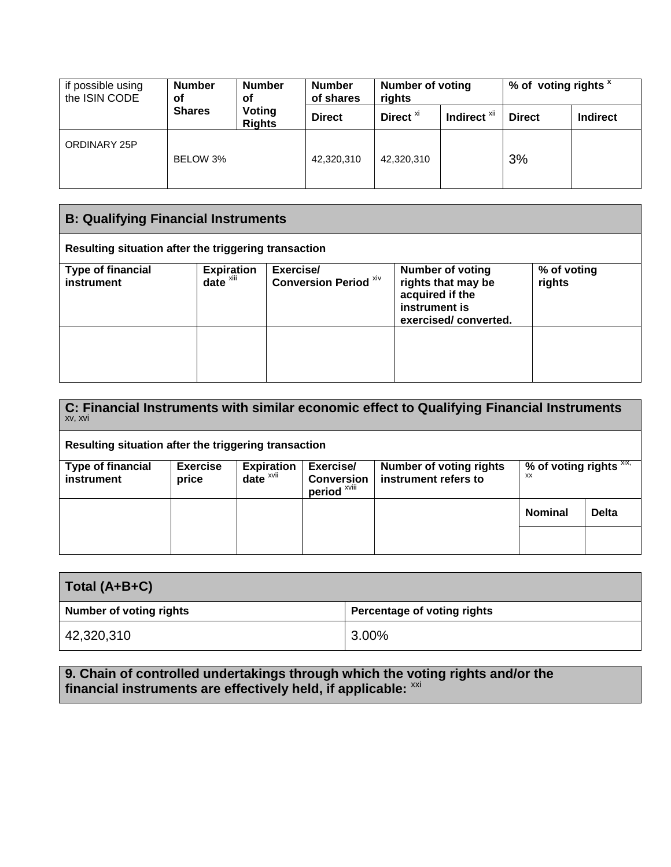| if possible using<br>the ISIN CODE | <b>Number</b><br>οf | <b>Number</b><br>οf     | <b>Number</b><br>of shares | <b>Number of voting</b><br>rights |                         | % of voting rights |                 |
|------------------------------------|---------------------|-------------------------|----------------------------|-----------------------------------|-------------------------|--------------------|-----------------|
|                                    | <b>Shares</b>       | Voting<br><b>Rights</b> | <b>Direct</b>              | Direct <sup>xi</sup>              | Indirect <sup>xii</sup> | <b>Direct</b>      | <b>Indirect</b> |
| ORDINARY 25P                       | BELOW 3%            |                         | 42,320,310                 | 42,320,310                        |                         | 3%                 |                 |

| <b>B: Qualifying Financial Instruments</b>           |                                           |                                    |                                                                                                           |                       |
|------------------------------------------------------|-------------------------------------------|------------------------------------|-----------------------------------------------------------------------------------------------------------|-----------------------|
| Resulting situation after the triggering transaction |                                           |                                    |                                                                                                           |                       |
| <b>Type of financial</b><br>instrument               | <b>Expiration</b><br>date <sup>xiii</sup> | Exercise/<br>Conversion Period XIV | <b>Number of voting</b><br>rights that may be<br>acquired if the<br>instrument is<br>exercised/converted. | % of voting<br>rights |
|                                                      |                                           |                                    |                                                                                                           |                       |

| C: Financial Instruments with similar economic effect to Qualifying Financial Instruments<br>XV, XVI |                          |                               |                                                |                                                        |                                  |              |
|------------------------------------------------------------------------------------------------------|--------------------------|-------------------------------|------------------------------------------------|--------------------------------------------------------|----------------------------------|--------------|
| Resulting situation after the triggering transaction                                                 |                          |                               |                                                |                                                        |                                  |              |
| <b>Type of financial</b><br><b>instrument</b>                                                        | <b>Exercise</b><br>price | <b>Expiration</b><br>$date^x$ | Exercise/<br><b>Conversion</b><br>period XVIII | <b>Number of voting rights</b><br>instrument refers to | % of voting rights $XIX$ ,<br>XX |              |
|                                                                                                      |                          |                               |                                                |                                                        | <b>Nominal</b>                   | <b>Delta</b> |
|                                                                                                      |                          |                               |                                                |                                                        |                                  |              |

| Total (A+B+C)           |                             |
|-------------------------|-----------------------------|
| Number of voting rights | Percentage of voting rights |
| 42,320,310              | 3.00%                       |

**9. Chain of controlled undertakings through which the voting rights and/or the** financial instruments are effectively held, if applicable: <sup>xxi</sup>